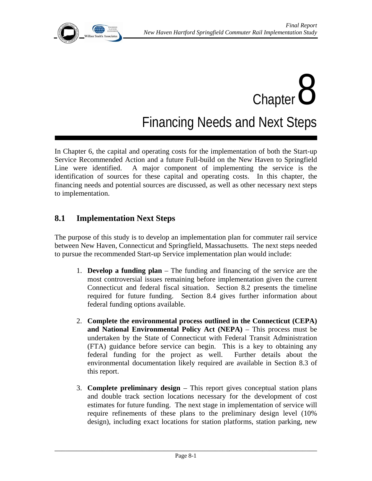

# $Chapter$ <sup>8</sup> Financing Needs and Next Steps

In Chapter 6, the capital and operating costs for the implementation of both the Start-up Service Recommended Action and a future Full-build on the New Haven to Springfield Line were identified. A major component of implementing the service is the identification of sources for these capital and operating costs. In this chapter, the financing needs and potential sources are discussed, as well as other necessary next steps to implementation.

# **8.1 Implementation Next Steps**

The purpose of this study is to develop an implementation plan for commuter rail service between New Haven, Connecticut and Springfield, Massachusetts. The next steps needed to pursue the recommended Start-up Service implementation plan would include:

- 1. **Develop a funding plan** The funding and financing of the service are the most controversial issues remaining before implementation given the current Connecticut and federal fiscal situation. Section 8.2 presents the timeline required for future funding. Section 8.4 gives further information about federal funding options available.
- 2. **Complete the environmental process outlined in the Connecticut (CEPA) and National Environmental Policy Act (NEPA)** – This process must be undertaken by the State of Connecticut with Federal Transit Administration (FTA) guidance before service can begin. This is a key to obtaining any federal funding for the project as well. Further details about the environmental documentation likely required are available in Section 8.3 of this report.
- 3. **Complete preliminary design**  This report gives conceptual station plans and double track section locations necessary for the development of cost estimates for future funding. The next stage in implementation of service will require refinements of these plans to the preliminary design level (10% design), including exact locations for station platforms, station parking, new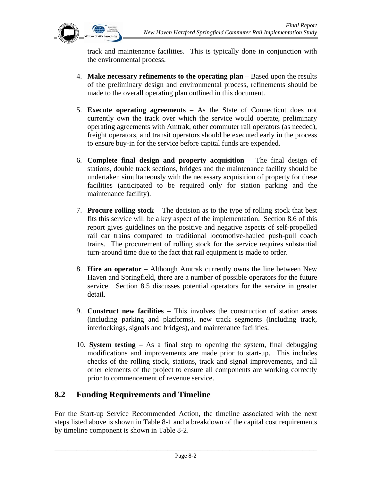

track and maintenance facilities. This is typically done in conjunction with the environmental process.

- 4. **Make necessary refinements to the operating plan** Based upon the results of the preliminary design and environmental process, refinements should be made to the overall operating plan outlined in this document.
- 5. **Execute operating agreements** As the State of Connecticut does not currently own the track over which the service would operate, preliminary operating agreements with Amtrak, other commuter rail operators (as needed), freight operators, and transit operators should be executed early in the process to ensure buy-in for the service before capital funds are expended.
- 6. **Complete final design and property acquisition** The final design of stations, double track sections, bridges and the maintenance facility should be undertaken simultaneously with the necessary acquisition of property for these facilities (anticipated to be required only for station parking and the maintenance facility).
- 7. **Procure rolling stock** The decision as to the type of rolling stock that best fits this service will be a key aspect of the implementation. Section 8.6 of this report gives guidelines on the positive and negative aspects of self-propelled rail car trains compared to traditional locomotive-hauled push-pull coach trains. The procurement of rolling stock for the service requires substantial turn-around time due to the fact that rail equipment is made to order.
- 8. **Hire an operator** Although Amtrak currently owns the line between New Haven and Springfield, there are a number of possible operators for the future service. Section 8.5 discusses potential operators for the service in greater detail.
- 9. **Construct new facilities**  This involves the construction of station areas (including parking and platforms), new track segments (including track, interlockings, signals and bridges), and maintenance facilities.
- 10. **System testing** As a final step to opening the system, final debugging modifications and improvements are made prior to start-up. This includes checks of the rolling stock, stations, track and signal improvements, and all other elements of the project to ensure all components are working correctly prior to commencement of revenue service.

## **8.2 Funding Requirements and Timeline**

For the Start-up Service Recommended Action, the timeline associated with the next steps listed above is shown in Table 8-1 and a breakdown of the capital cost requirements by timeline component is shown in Table 8-2.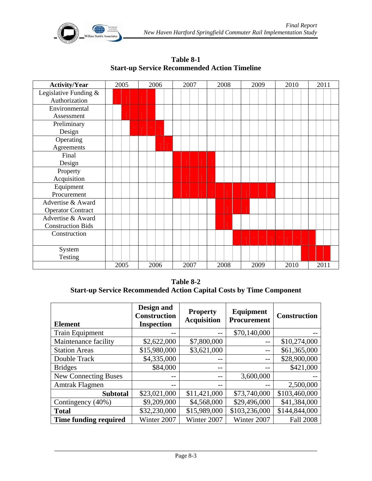

| <b>Activity/Year</b>     | 2005 |  | 2006 |  | 2007 |  | 2008 |  | 2009 |  | 2010 |  | 2011 |  |
|--------------------------|------|--|------|--|------|--|------|--|------|--|------|--|------|--|
| Legislative Funding $\&$ |      |  |      |  |      |  |      |  |      |  |      |  |      |  |
| Authorization            |      |  |      |  |      |  |      |  |      |  |      |  |      |  |
| Environmental            |      |  |      |  |      |  |      |  |      |  |      |  |      |  |
| Assessment               |      |  |      |  |      |  |      |  |      |  |      |  |      |  |
| Preliminary              |      |  |      |  |      |  |      |  |      |  |      |  |      |  |
| Design                   |      |  |      |  |      |  |      |  |      |  |      |  |      |  |
| Operating                |      |  |      |  |      |  |      |  |      |  |      |  |      |  |
| Agreements               |      |  |      |  |      |  |      |  |      |  |      |  |      |  |
| Final                    |      |  |      |  |      |  |      |  |      |  |      |  |      |  |
| Design                   |      |  |      |  |      |  |      |  |      |  |      |  |      |  |
| Property                 |      |  |      |  |      |  |      |  |      |  |      |  |      |  |
| Acquisition              |      |  |      |  |      |  |      |  |      |  |      |  |      |  |
| Equipment                |      |  |      |  |      |  |      |  |      |  |      |  |      |  |
| Procurement              |      |  |      |  |      |  |      |  |      |  |      |  |      |  |
| Advertise & Award        |      |  |      |  |      |  |      |  |      |  |      |  |      |  |
| <b>Operator Contract</b> |      |  |      |  |      |  |      |  |      |  |      |  |      |  |
| Advertise & Award        |      |  |      |  |      |  |      |  |      |  |      |  |      |  |
| <b>Construction Bids</b> |      |  |      |  |      |  |      |  |      |  |      |  |      |  |
| Construction             |      |  |      |  |      |  |      |  |      |  |      |  |      |  |
|                          |      |  |      |  |      |  |      |  |      |  |      |  |      |  |
| System                   |      |  |      |  |      |  |      |  |      |  |      |  |      |  |
| Testing                  |      |  |      |  |      |  |      |  |      |  |      |  |      |  |
|                          | 2005 |  | 2006 |  | 2007 |  | 2008 |  | 2009 |  | 2010 |  | 2011 |  |

**Table 8-1 Start-up Service Recommended Action Timeline** 

**Table 8-2 Start-up Service Recommended Action Capital Costs by Time Component** 

| <b>Element</b>              | Design and<br><b>Construction</b><br><b>Inspection</b> | <b>Property</b><br><b>Acquisition</b> | Equipment<br><b>Procurement</b> | <b>Construction</b> |
|-----------------------------|--------------------------------------------------------|---------------------------------------|---------------------------------|---------------------|
| <b>Train Equipment</b>      |                                                        |                                       | \$70,140,000                    |                     |
| Maintenance facility        | \$2,622,000                                            | \$7,800,000                           |                                 | \$10,274,000        |
| <b>Station Areas</b>        | \$15,980,000                                           | \$3,621,000                           |                                 | \$61,365,000        |
| Double Track                | \$4,335,000                                            |                                       |                                 | \$28,900,000        |
| <b>Bridges</b>              | \$84,000                                               | $ -$                                  |                                 | \$421,000           |
| <b>New Connecting Buses</b> |                                                        | $ -$                                  | 3,600,000                       |                     |
| Amtrak Flagmen              |                                                        |                                       |                                 | 2,500,000           |
| <b>Subtotal</b>             | \$23,021,000                                           | \$11,421,000                          | \$73,740,000                    | \$103,460,000       |
| Contingency (40%)           | \$9,209,000                                            | \$4,568,000                           | \$29,496,000                    | \$41,384,000        |
| <b>Total</b>                | \$32,230,000                                           | \$15,989,000                          | \$103,236,000                   | \$144,844,000       |
| Time funding required       | Winter 2007                                            | Winter 2007                           | Winter 2007                     | <b>Fall 2008</b>    |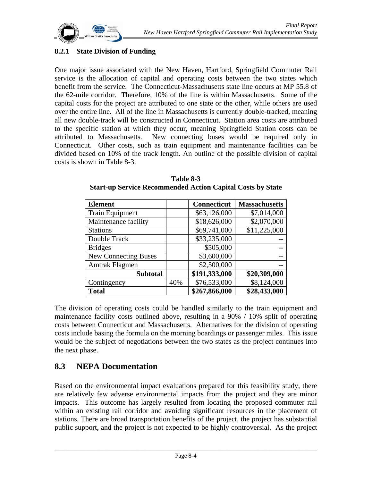

## **8.2.1 State Division of Funding**

One major issue associated with the New Haven, Hartford, Springfield Commuter Rail service is the allocation of capital and operating costs between the two states which benefit from the service. The Connecticut-Massachusetts state line occurs at MP 55.8 of the 62-mile corridor. Therefore, 10% of the line is within Massachusetts. Some of the capital costs for the project are attributed to one state or the other, while others are used over the entire line. All of the line in Massachusetts is currently double-tracked, meaning all new double-track will be constructed in Connecticut. Station area costs are attributed to the specific station at which they occur, meaning Springfield Station costs can be attributed to Massachusetts. New connecting buses would be required only in Connecticut. Other costs, such as train equipment and maintenance facilities can be divided based on 10% of the track length. An outline of the possible division of capital costs is shown in Table 8-3.

| <b>Element</b>              |     | <b>Connecticut</b> | <b>Massachusetts</b> |
|-----------------------------|-----|--------------------|----------------------|
| <b>Train Equipment</b>      |     | \$63,126,000       | \$7,014,000          |
| Maintenance facility        |     | \$18,626,000       | \$2,070,000          |
| <b>Stations</b>             |     | \$69,741,000       | \$11,225,000         |
| Double Track                |     | \$33,235,000       |                      |
| <b>Bridges</b>              |     | \$505,000          |                      |
| <b>New Connecting Buses</b> |     | \$3,600,000        |                      |
| Amtrak Flagmen              |     | \$2,500,000        |                      |
| <b>Subtotal</b>             |     | \$191,333,000      | \$20,309,000         |
| Contingency                 | 40% | \$76,533,000       | \$8,124,000          |
| <b>Total</b>                |     | \$267,866,000      | \$28,433,000         |

**Table 8-3 Start-up Service Recommended Action Capital Costs by State** 

The division of operating costs could be handled similarly to the train equipment and maintenance facility costs outlined above, resulting in a 90% / 10% split of operating costs between Connecticut and Massachusetts. Alternatives for the division of operating costs include basing the formula on the morning boardings or passenger miles. This issue would be the subject of negotiations between the two states as the project continues into the next phase.

## **8.3 NEPA Documentation**

Based on the environmental impact evaluations prepared for this feasibility study, there are relatively few adverse environmental impacts from the project and they are minor impacts. This outcome has largely resulted from locating the proposed commuter rail within an existing rail corridor and avoiding significant resources in the placement of stations. There are broad transportation benefits of the project, the project has substantial public support, and the project is not expected to be highly controversial. As the project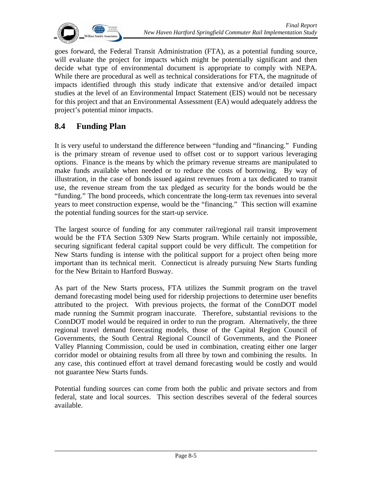

goes forward, the Federal Transit Administration (FTA), as a potential funding source, will evaluate the project for impacts which might be potentially significant and then decide what type of environmental document is appropriate to comply with NEPA. While there are procedural as well as technical considerations for FTA, the magnitude of impacts identified through this study indicate that extensive and/or detailed impact studies at the level of an Environmental Impact Statement (EIS) would not be necessary for this project and that an Environmental Assessment (EA) would adequately address the project's potential minor impacts.

# **8.4 Funding Plan**

It is very useful to understand the difference between "funding and "financing." Funding is the primary stream of revenue used to offset cost or to support various leveraging options. Finance is the means by which the primary revenue streams are manipulated to make funds available when needed or to reduce the costs of borrowing. By way of illustration, in the case of bonds issued against revenues from a tax dedicated to transit use, the revenue stream from the tax pledged as security for the bonds would be the "funding." The bond proceeds, which concentrate the long-term tax revenues into several years to meet construction expense, would be the "financing." This section will examine the potential funding sources for the start-up service.

The largest source of funding for any commuter rail/regional rail transit improvement would be the FTA Section 5309 New Starts program. While certainly not impossible, securing significant federal capital support could be very difficult. The competition for New Starts funding is intense with the political support for a project often being more important than its technical merit. Connecticut is already pursuing New Starts funding for the New Britain to Hartford Busway.

As part of the New Starts process, FTA utilizes the Summit program on the travel demand forecasting model being used for ridership projections to determine user benefits attributed to the project. With previous projects, the format of the ConnDOT model made running the Summit program inaccurate. Therefore, substantial revisions to the ConnDOT model would be required in order to run the program. Alternatively, the three regional travel demand forecasting models, those of the Capital Region Council of Governments, the South Central Regional Council of Governments, and the Pioneer Valley Planning Commission, could be used in combination, creating either one larger corridor model or obtaining results from all three by town and combining the results. In any case, this continued effort at travel demand forecasting would be costly and would not guarantee New Starts funds.

Potential funding sources can come from both the public and private sectors and from federal, state and local sources. This section describes several of the federal sources available.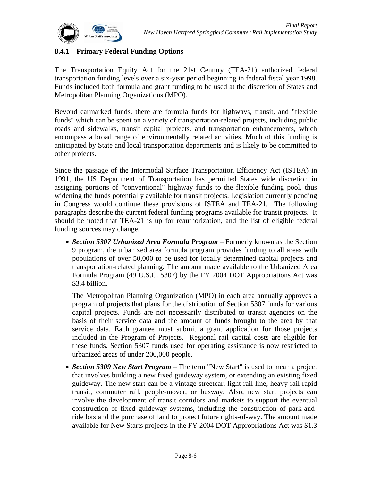

## **8.4.1 Primary Federal Funding Options**

The Transportation Equity Act for the 21st Century (TEA-21) authorized federal transportation funding levels over a six-year period beginning in federal fiscal year 1998. Funds included both formula and grant funding to be used at the discretion of States and Metropolitan Planning Organizations (MPO).

Beyond earmarked funds, there are formula funds for highways, transit, and "flexible funds" which can be spent on a variety of transportation-related projects, including public roads and sidewalks, transit capital projects, and transportation enhancements, which encompass a broad range of environmentally related activities. Much of this funding is anticipated by State and local transportation departments and is likely to be committed to other projects.

Since the passage of the Intermodal Surface Transportation Efficiency Act (ISTEA) in 1991, the US Department of Transportation has permitted States wide discretion in assigning portions of "conventional" highway funds to the flexible funding pool, thus widening the funds potentially available for transit projects. Legislation currently pending in Congress would continue these provisions of ISTEA and TEA-21. The following paragraphs describe the current federal funding programs available for transit projects. It should be noted that TEA-21 is up for reauthorization, and the list of eligible federal funding sources may change.

• *Section 5307 Urbanized Area Formula Program* – Formerly known as the Section 9 program, the urbanized area formula program provides funding to all areas with populations of over 50,000 to be used for locally determined capital projects and transportation-related planning. The amount made available to the Urbanized Area Formula Program (49 U.S.C. 5307) by the FY 2004 DOT Appropriations Act was \$3.4 billion.

The Metropolitan Planning Organization (MPO) in each area annually approves a program of projects that plans for the distribution of Section 5307 funds for various capital projects. Funds are not necessarily distributed to transit agencies on the basis of their service data and the amount of funds brought to the area by that service data. Each grantee must submit a grant application for those projects included in the Program of Projects. Regional rail capital costs are eligible for these funds. Section 5307 funds used for operating assistance is now restricted to urbanized areas of under 200,000 people.

• *Section 5309 New Start Program* – The term "New Start" is used to mean a project that involves building a new fixed guideway system, or extending an existing fixed guideway. The new start can be a vintage streetcar, light rail line, heavy rail rapid transit, commuter rail, people-mover, or busway. Also, new start projects can involve the development of transit corridors and markets to support the eventual construction of fixed guideway systems, including the construction of park-andride lots and the purchase of land to protect future rights-of-way. The amount made available for New Starts projects in the FY 2004 DOT Appropriations Act was \$1.3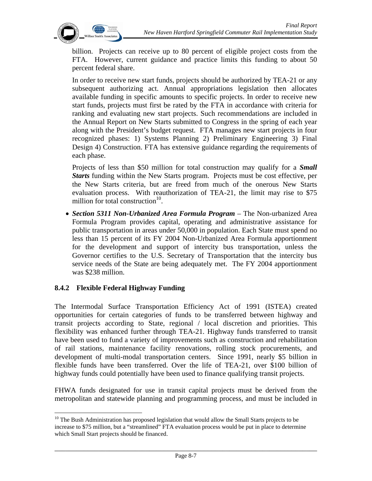

billion. Projects can receive up to 80 percent of eligible project costs from the FTA. However, current guidance and practice limits this funding to about 50 percent federal share.

In order to receive new start funds, projects should be authorized by TEA-21 or any subsequent authorizing act. Annual appropriations legislation then allocates available funding in specific amounts to specific projects. In order to receive new start funds, projects must first be rated by the FTA in accordance with criteria for ranking and evaluating new start projects. Such recommendations are included in the Annual Report on New Starts submitted to Congress in the spring of each year along with the President's budget request. FTA manages new start projects in four recognized phases: 1) Systems Planning 2) Preliminary Engineering 3) Final Design 4) Construction. FTA has extensive guidance regarding the requirements of each phase.

Projects of less than \$50 million for total construction may qualify for a *Small Starts* funding within the New Starts program. Projects must be cost effective, per the New Starts criteria, but are freed from much of the onerous New Starts evaluation process. With reauthorization of TEA-21, the limit may rise to \$75 million for total construction $10$ .

• *Section 5311 Non-Urbanized Area Formula Program* – The Non-urbanized Area Formula Program provides capital, operating and administrative assistance for public transportation in areas under 50,000 in population. Each State must spend no less than 15 percent of its FY 2004 Non-Urbanized Area Formula apportionment for the development and support of intercity bus transportation, unless the Governor certifies to the U.S. Secretary of Transportation that the intercity bus service needs of the State are being adequately met. The FY 2004 apportionment was \$238 million.

### **8.4.2 Flexible Federal Highway Funding**

The Intermodal Surface Transportation Efficiency Act of 1991 (ISTEA) created opportunities for certain categories of funds to be transferred between highway and transit projects according to State, regional / local discretion and priorities. This flexibility was enhanced further through TEA-21. Highway funds transferred to transit have been used to fund a variety of improvements such as construction and rehabilitation of rail stations, maintenance facility renovations, rolling stock procurements, and development of multi-modal transportation centers. Since 1991, nearly \$5 billion in flexible funds have been transferred. Over the life of TEA-21, over \$100 billion of highway funds could potentially have been used to finance qualifying transit projects.

FHWA funds designated for use in transit capital projects must be derived from the metropolitan and statewide planning and programming process, and must be included in

 $\overline{a}$ <sup>10</sup> The Bush Administration has proposed legislation that would allow the Small Starts projects to be increase to \$75 million, but a "streamlined" FTA evaluation process would be put in place to determine which Small Start projects should be financed.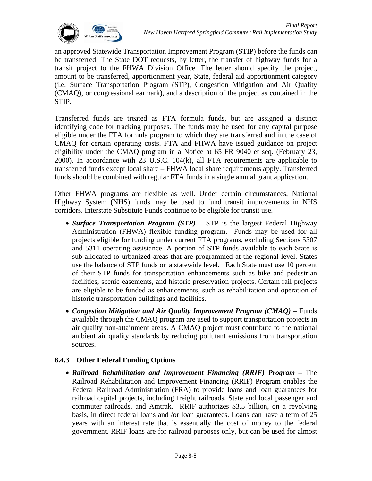

an approved Statewide Transportation Improvement Program (STIP) before the funds can be transferred. The State DOT requests, by letter, the transfer of highway funds for a transit project to the FHWA Division Office. The letter should specify the project, amount to be transferred, apportionment year, State, federal aid apportionment category (i.e. Surface Transportation Program (STP), Congestion Mitigation and Air Quality (CMAQ), or congressional earmark), and a description of the project as contained in the STIP.

Transferred funds are treated as FTA formula funds, but are assigned a distinct identifying code for tracking purposes. The funds may be used for any capital purpose eligible under the FTA formula program to which they are transferred and in the case of CMAQ for certain operating costs. FTA and FHWA have issued guidance on project eligibility under the CMAQ program in a Notice at 65 FR 9040 et seq. (February 23, 2000). In accordance with 23 U.S.C. 104(k), all FTA requirements are applicable to transferred funds except local share – FHWA local share requirements apply. Transferred funds should be combined with regular FTA funds in a single annual grant application.

Other FHWA programs are flexible as well. Under certain circumstances, National Highway System (NHS) funds may be used to fund transit improvements in NHS corridors. Interstate Substitute Funds continue to be eligible for transit use.

- *Surface Transportation Program (STP)* STP is the largest Federal Highway Administration (FHWA) flexible funding program. Funds may be used for all projects eligible for funding under current FTA programs, excluding Sections 5307 and 5311 operating assistance. A portion of STP funds available to each State is sub-allocated to urbanized areas that are programmed at the regional level. States use the balance of STP funds on a statewide level. Each State must use 10 percent of their STP funds for transportation enhancements such as bike and pedestrian facilities, scenic easements, and historic preservation projects. Certain rail projects are eligible to be funded as enhancements, such as rehabilitation and operation of historic transportation buildings and facilities.
- *Congestion Mitigation and Air Quality Improvement Program (CMAQ)* Funds available through the CMAQ program are used to support transportation projects in air quality non-attainment areas. A CMAQ project must contribute to the national ambient air quality standards by reducing pollutant emissions from transportation sources.

### **8.4.3 Other Federal Funding Options**

• *Railroad Rehabilitation and Improvement Financing (RRIF) Program* – The Railroad Rehabilitation and Improvement Financing (RRIF) Program enables the Federal Railroad Administration (FRA) to provide loans and loan guarantees for railroad capital projects, including freight railroads, State and local passenger and commuter railroads, and Amtrak. RRIF authorizes \$3.5 billion, on a revolving basis, in direct federal loans and /or loan guarantees. Loans can have a term of 25 years with an interest rate that is essentially the cost of money to the federal government. RRIF loans are for railroad purposes only, but can be used for almost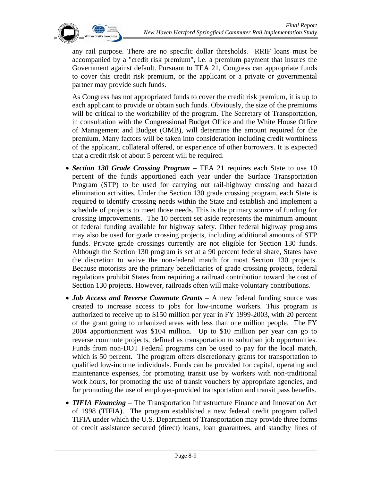

any rail purpose. There are no specific dollar thresholds. RRIF loans must be accompanied by a "credit risk premium", i.e. a premium payment that insures the Government against default. Pursuant to TEA 21, Congress can appropriate funds to cover this credit risk premium, or the applicant or a private or governmental partner may provide such funds.

As Congress has not appropriated funds to cover the credit risk premium, it is up to each applicant to provide or obtain such funds. Obviously, the size of the premiums will be critical to the workability of the program. The Secretary of Transportation, in consultation with the Congressional Budget Office and the White House Office of Management and Budget (OMB), will determine the amount required for the premium. Many factors will be taken into consideration including credit worthiness of the applicant, collateral offered, or experience of other borrowers. It is expected that a credit risk of about 5 percent will be required.

- *Section 130 Grade Crossing Program* TEA 21 requires each State to use 10 percent of the funds apportioned each year under the Surface Transportation Program (STP) to be used for carrying out rail-highway crossing and hazard elimination activities. Under the Section 130 grade crossing program, each State is required to identify crossing needs within the State and establish and implement a schedule of projects to meet those needs. This is the primary source of funding for crossing improvements. The 10 percent set aside represents the minimum amount of federal funding available for highway safety. Other federal highway programs may also be used for grade crossing projects, including additional amounts of STP funds. Private grade crossings currently are not eligible for Section 130 funds. Although the Section 130 program is set at a 90 percent federal share, States have the discretion to waive the non-federal match for most Section 130 projects. Because motorists are the primary beneficiaries of grade crossing projects, federal regulations prohibit States from requiring a railroad contribution toward the cost of Section 130 projects. However, railroads often will make voluntary contributions.
- *Job Access and Reverse Commute Grants* A new federal funding source was created to increase access to jobs for low-income workers. This program is authorized to receive up to \$150 million per year in FY 1999-2003, with 20 percent of the grant going to urbanized areas with less than one million people. The FY 2004 apportionment was \$104 million. Up to \$10 million per year can go to reverse commute projects, defined as transportation to suburban job opportunities. Funds from non-DOT Federal programs can be used to pay for the local match, which is 50 percent. The program offers discretionary grants for transportation to qualified low-income individuals. Funds can be provided for capital, operating and maintenance expenses, for promoting transit use by workers with non-traditional work hours, for promoting the use of transit vouchers by appropriate agencies, and for promoting the use of employer-provided transportation and transit pass benefits.
- *TIFIA Financing*  The Transportation Infrastructure Finance and Innovation Act of 1998 (TIFIA). The program established a new federal credit program called TIFIA under which the U.S. Department of Transportation may provide three forms of credit assistance secured (direct) loans, loan guarantees, and standby lines of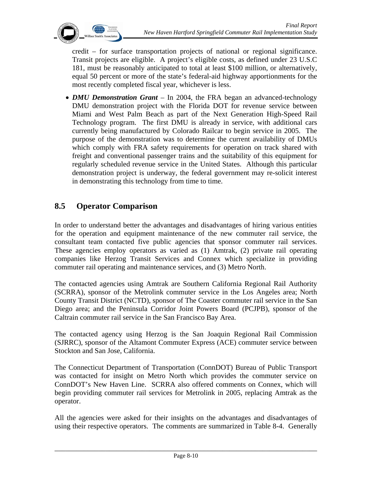

credit – for surface transportation projects of national or regional significance. Transit projects are eligible. A project's eligible costs, as defined under 23 U.S.C 181, must be reasonably anticipated to total at least \$100 million, or alternatively, equal 50 percent or more of the state's federal-aid highway apportionments for the most recently completed fiscal year, whichever is less.

• *DMU Demonstration Grant* – In 2004, the FRA began an advanced-technology DMU demonstration project with the Florida DOT for revenue service between Miami and West Palm Beach as part of the Next Generation High-Speed Rail Technology program. The first DMU is already in service, with additional cars currently being manufactured by Colorado Railcar to begin service in 2005. The purpose of the demonstration was to determine the current availability of DMUs which comply with FRA safety requirements for operation on track shared with freight and conventional passenger trains and the suitability of this equipment for regularly scheduled revenue service in the United States. Although this particular demonstration project is underway, the federal government may re-solicit interest in demonstrating this technology from time to time.

# **8.5 Operator Comparison**

In order to understand better the advantages and disadvantages of hiring various entities for the operation and equipment maintenance of the new commuter rail service, the consultant team contacted five public agencies that sponsor commuter rail services. These agencies employ operators as varied as (1) Amtrak, (2) private rail operating companies like Herzog Transit Services and Connex which specialize in providing commuter rail operating and maintenance services, and (3) Metro North.

The contacted agencies using Amtrak are Southern California Regional Rail Authority (SCRRA), sponsor of the Metrolink commuter service in the Los Angeles area; North County Transit District (NCTD), sponsor of The Coaster commuter rail service in the San Diego area; and the Peninsula Corridor Joint Powers Board (PCJPB), sponsor of the Caltrain commuter rail service in the San Francisco Bay Area.

The contacted agency using Herzog is the San Joaquin Regional Rail Commission (SJRRC), sponsor of the Altamont Commuter Express (ACE) commuter service between Stockton and San Jose, California.

The Connecticut Department of Transportation (ConnDOT) Bureau of Public Transport was contacted for insight on Metro North which provides the commuter service on ConnDOT's New Haven Line. SCRRA also offered comments on Connex, which will begin providing commuter rail services for Metrolink in 2005, replacing Amtrak as the operator.

All the agencies were asked for their insights on the advantages and disadvantages of using their respective operators. The comments are summarized in Table 8-4. Generally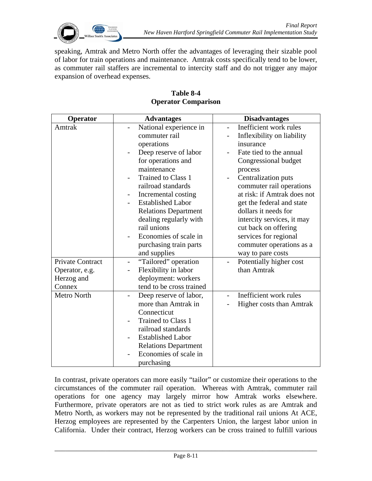

speaking, Amtrak and Metro North offer the advantages of leveraging their sizable pool of labor for train operations and maintenance. Amtrak costs specifically tend to be lower, as commuter rail staffers are incremental to intercity staff and do not trigger any major expansion of overhead expenses.

| Operator         | <b>Advantages</b>                                 | <b>Disadvantages</b>                               |
|------------------|---------------------------------------------------|----------------------------------------------------|
| Amtrak           | National experience in                            | Inefficient work rules<br>$\overline{\phantom{0}}$ |
|                  | commuter rail                                     | Inflexibility on liability                         |
|                  | operations                                        | insurance                                          |
|                  | Deep reserve of labor<br>$\overline{\phantom{0}}$ | Fate tied to the annual                            |
|                  | for operations and                                | Congressional budget                               |
|                  | maintenance                                       | process                                            |
|                  | Trained to Class 1                                | Centralization puts                                |
|                  | railroad standards                                | commuter rail operations                           |
|                  | Incremental costing                               | at risk: if Amtrak does not                        |
|                  | <b>Established Labor</b><br>Ξ.                    | get the federal and state                          |
|                  | <b>Relations Department</b>                       | dollars it needs for                               |
|                  | dealing regularly with                            | intercity services, it may                         |
|                  | rail unions                                       | cut back on offering                               |
|                  | Economies of scale in<br>-                        | services for regional                              |
|                  | purchasing train parts                            | commuter operations as a                           |
|                  | and supplies                                      | way to pare costs                                  |
| Private Contract | "Tailored" operation<br>$\overline{\phantom{0}}$  | Potentially higher cost                            |
| Operator, e.g.   | Flexibility in labor<br>-                         | than Amtrak                                        |
| Herzog and       | deployment: workers                               |                                                    |
| Connex           | tend to be cross trained                          |                                                    |
| Metro North      | Deep reserve of labor,                            | Inefficient work rules                             |
|                  | more than Amtrak in                               | Higher costs than Amtrak                           |
|                  | Connecticut                                       |                                                    |
|                  | Trained to Class 1<br>-                           |                                                    |
|                  | railroad standards                                |                                                    |
|                  | <b>Established Labor</b><br>-                     |                                                    |
|                  | <b>Relations Department</b>                       |                                                    |
|                  | Economies of scale in                             |                                                    |
|                  | purchasing                                        |                                                    |

#### **Table 8-4 Operator Comparison**

In contrast, private operators can more easily "tailor" or customize their operations to the circumstances of the commuter rail operation. Whereas with Amtrak, commuter rail operations for one agency may largely mirror how Amtrak works elsewhere. Furthermore, private operators are not as tied to strict work rules as are Amtrak and Metro North, as workers may not be represented by the traditional rail unions At ACE, Herzog employees are represented by the Carpenters Union, the largest labor union in California. Under their contract, Herzog workers can be cross trained to fulfill various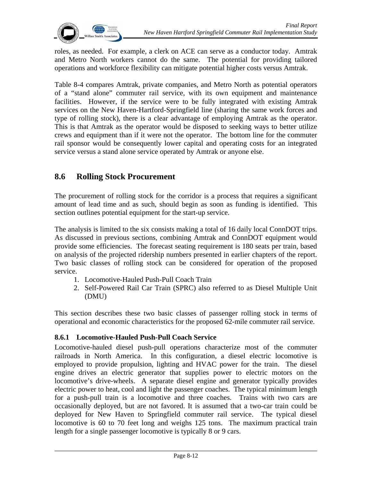

roles, as needed. For example, a clerk on ACE can serve as a conductor today. Amtrak and Metro North workers cannot do the same. The potential for providing tailored operations and workforce flexibility can mitigate potential higher costs versus Amtrak.

Table 8-4 compares Amtrak, private companies, and Metro North as potential operators of a "stand alone" commuter rail service, with its own equipment and maintenance facilities. However, if the service were to be fully integrated with existing Amtrak services on the New Haven-Hartford-Springfield line (sharing the same work forces and type of rolling stock), there is a clear advantage of employing Amtrak as the operator. This is that Amtrak as the operator would be disposed to seeking ways to better utilize crews and equipment than if it were not the operator. The bottom line for the commuter rail sponsor would be consequently lower capital and operating costs for an integrated service versus a stand alone service operated by Amtrak or anyone else.

## **8.6 Rolling Stock Procurement**

The procurement of rolling stock for the corridor is a process that requires a significant amount of lead time and as such, should begin as soon as funding is identified. This section outlines potential equipment for the start-up service.

The analysis is limited to the six consists making a total of 16 daily local ConnDOT trips. As discussed in previous sections, combining Amtrak and ConnDOT equipment would provide some efficiencies. The forecast seating requirement is 180 seats per train, based on analysis of the projected ridership numbers presented in earlier chapters of the report. Two basic classes of rolling stock can be considered for operation of the proposed service.

- 1. Locomotive-Hauled Push-Pull Coach Train
- 2. Self-Powered Rail Car Train (SPRC) also referred to as Diesel Multiple Unit (DMU)

This section describes these two basic classes of passenger rolling stock in terms of operational and economic characteristics for the proposed 62-mile commuter rail service.

### **8.6.1 Locomotive-Hauled Push-Pull Coach Service**

Locomotive-hauled diesel push-pull operations characterize most of the commuter railroads in North America. In this configuration, a diesel electric locomotive is employed to provide propulsion, lighting and HVAC power for the train. The diesel engine drives an electric generator that supplies power to electric motors on the locomotive's drive-wheels. A separate diesel engine and generator typically provides electric power to heat, cool and light the passenger coaches. The typical minimum length for a push-pull train is a locomotive and three coaches. Trains with two cars are occasionally deployed, but are not favored. It is assumed that a two-car train could be deployed for New Haven to Springfield commuter rail service. The typical diesel locomotive is 60 to 70 feet long and weighs 125 tons. The maximum practical train length for a single passenger locomotive is typically 8 or 9 cars.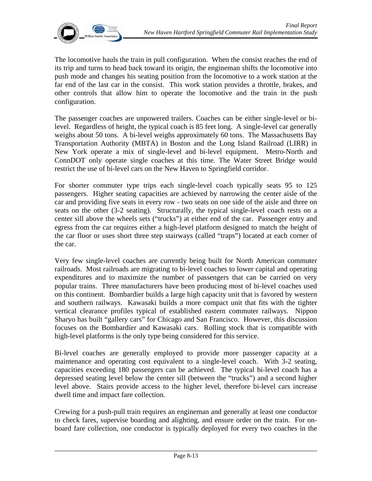

The locomotive hauls the train in pull configuration. When the consist reaches the end of its trip and turns to head back toward its origin, the engineman shifts the locomotive into push mode and changes his seating position from the locomotive to a work station at the far end of the last car in the consist. This work station provides a throttle, brakes, and other controls that allow him to operate the locomotive and the train in the push configuration.

The passenger coaches are unpowered trailers. Coaches can be either single-level or bilevel. Regardless of height, the typical coach is 85 feet long. A single-level car generally weighs about 50 tons. A bi-level weighs approximately 60 tons. The Massachusetts Bay Transportation Authority (MBTA) in Boston and the Long Island Railroad (LIRR) in New York operate a mix of single-level and bi-level equipment. Metro-North and ConnDOT only operate single coaches at this time. The Water Street Bridge would restrict the use of bi-level cars on the New Haven to Springfield corridor.

For shorter commuter type trips each single-level coach typically seats 95 to 125 passengers. Higher seating capacities are achieved by narrowing the center aisle of the car and providing five seats in every row - two seats on one side of the aisle and three on seats on the other (3-2 seating). Structurally, the typical single-level coach rests on a center sill above the wheels sets ("trucks") at either end of the car. Passenger entry and egress from the car requires either a high-level platform designed to match the height of the car floor or uses short three step stairways (called "traps") located at each corner of the car.

Very few single-level coaches are currently being built for North American commuter railroads. Most railroads are migrating to bi-level coaches to lower capital and operating expenditures and to maximize the number of passengers that can be carried on very popular trains. Three manufacturers have been producing most of bi-level coaches used on this continent. Bombardier builds a large high capacity unit that is favored by western and southern railways. Kawasaki builds a more compact unit that fits with the tighter vertical clearance profiles typical of established eastern commuter railways. Nippon Sharyo has built "gallery cars" for Chicago and San Francisco. However, this discussion focuses on the Bombardier and Kawasaki cars. Rolling stock that is compatible with high-level platforms is the only type being considered for this service.

Bi-level coaches are generally employed to provide more passenger capacity at a maintenance and operating cost equivalent to a single-level coach. With 3-2 seating, capacities exceeding 180 passengers can be achieved. The typical bi-level coach has a depressed seating level below the center sill (between the "trucks") and a second higher level above. Stairs provide access to the higher level, therefore bi-level cars increase dwell time and impact fare collection.

Crewing for a push-pull train requires an engineman and generally at least one conductor to check fares, supervise boarding and alighting, and ensure order on the train. For onboard fare collection, one conductor is typically deployed for every two coaches in the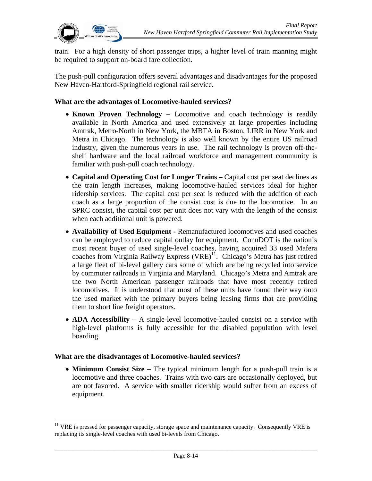

train. For a high density of short passenger trips, a higher level of train manning might be required to support on-board fare collection.

The push-pull configuration offers several advantages and disadvantages for the proposed New Haven-Hartford-Springfield regional rail service.

#### **What are the advantages of Locomotive-hauled services?**

- **Known Proven Technology** Locomotive and coach technology is readily available in North America and used extensively at large properties including Amtrak, Metro-North in New York, the MBTA in Boston, LIRR in New York and Metra in Chicago. The technology is also well known by the entire US railroad industry, given the numerous years in use. The rail technology is proven off-theshelf hardware and the local railroad workforce and management community is familiar with push-pull coach technology.
- **Capital and Operating Cost for Longer Trains Capital cost per seat declines as** the train length increases, making locomotive-hauled services ideal for higher ridership services. The capital cost per seat is reduced with the addition of each coach as a large proportion of the consist cost is due to the locomotive. In an SPRC consist, the capital cost per unit does not vary with the length of the consist when each additional unit is powered.
- **Availability of Used Equipment** Remanufactured locomotives and used coaches can be employed to reduce capital outlay for equipment. ConnDOT is the nation's most recent buyer of used single-level coaches, having acquired 33 used Mafera coaches from Virginia Railway Express  $(VRE)^{11}$ . Chicago's Metra has just retired a large fleet of bi-level gallery cars some of which are being recycled into service by commuter railroads in Virginia and Maryland. Chicago's Metra and Amtrak are the two North American passenger railroads that have most recently retired locomotives. It is understood that most of these units have found their way onto the used market with the primary buyers being leasing firms that are providing them to short line freight operators.
- **ADA Accessibility** A single-level locomotive-hauled consist on a service with high-level platforms is fully accessible for the disabled population with level boarding.

#### **What are the disadvantages of Locomotive-hauled services?**

 $\overline{a}$ 

• **Minimum Consist Size –** The typical minimum length for a push-pull train is a locomotive and three coaches. Trains with two cars are occasionally deployed, but are not favored. A service with smaller ridership would suffer from an excess of equipment.

 $11$  VRE is pressed for passenger capacity, storage space and maintenance capacity. Consequently VRE is replacing its single-level coaches with used bi-levels from Chicago.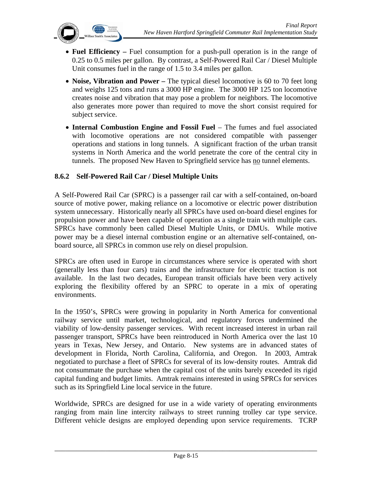

- **Fuel Efficiency** Fuel consumption for a push-pull operation is in the range of 0.25 to 0.5 miles per gallon. By contrast, a Self-Powered Rail Car / Diesel Multiple Unit consumes fuel in the range of 1.5 to 3.4 miles per gallon.
- **Noise, Vibration and Power** The typical diesel locomotive is 60 to 70 feet long and weighs 125 tons and runs a 3000 HP engine. The 3000 HP 125 ton locomotive creates noise and vibration that may pose a problem for neighbors. The locomotive also generates more power than required to move the short consist required for subject service.
- **Internal Combustion Engine and Fossil Fuel**  The fumes and fuel associated with locomotive operations are not considered compatible with passenger operations and stations in long tunnels. A significant fraction of the urban transit systems in North America and the world penetrate the core of the central city in tunnels. The proposed New Haven to Springfield service has no tunnel elements.

### **8.6.2 Self-Powered Rail Car / Diesel Multiple Units**

A Self-Powered Rail Car (SPRC) is a passenger rail car with a self-contained, on-board source of motive power, making reliance on a locomotive or electric power distribution system unnecessary. Historically nearly all SPRCs have used on-board diesel engines for propulsion power and have been capable of operation as a single train with multiple cars. SPRCs have commonly been called Diesel Multiple Units, or DMUs. While motive power may be a diesel internal combustion engine or an alternative self-contained, onboard source, all SPRCs in common use rely on diesel propulsion.

SPRCs are often used in Europe in circumstances where service is operated with short (generally less than four cars) trains and the infrastructure for electric traction is not available. In the last two decades, European transit officials have been very actively exploring the flexibility offered by an SPRC to operate in a mix of operating environments.

In the 1950's, SPRCs were growing in popularity in North America for conventional railway service until market, technological, and regulatory forces undermined the viability of low-density passenger services. With recent increased interest in urban rail passenger transport, SPRCs have been reintroduced in North America over the last 10 years in Texas, New Jersey, and Ontario. New systems are in advanced states of development in Florida, North Carolina, California, and Oregon. In 2003, Amtrak negotiated to purchase a fleet of SPRCs for several of its low-density routes. Amtrak did not consummate the purchase when the capital cost of the units barely exceeded its rigid capital funding and budget limits. Amtrak remains interested in using SPRCs for services such as its Springfield Line local service in the future.

Worldwide, SPRCs are designed for use in a wide variety of operating environments ranging from main line intercity railways to street running trolley car type service. Different vehicle designs are employed depending upon service requirements. TCRP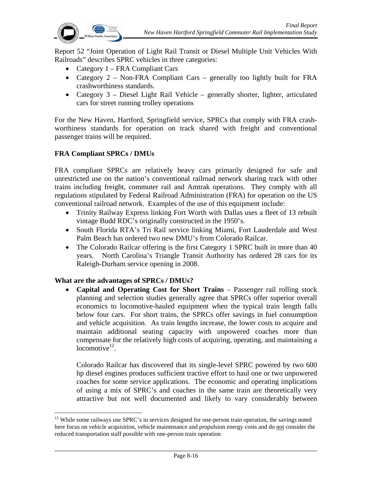Report 52 "Joint Operation of Light Rail Transit or Diesel Multiple Unit Vehicles With Railroads" describes SPRC vehicles in three categories:

- Category 1 FRA Compliant Cars
- Category 2 Non-FRA Compliant Cars generally too lightly built for FRA crashworthiness standards.
- Category 3 Diesel Light Rail Vehicle generally shorter, lighter, articulated cars for street running trolley operations

For the New Haven, Hartford, Springfield service, SPRCs that comply with FRA crashworthiness standards for operation on track shared with freight and conventional passenger trains will be required.

## **FRA Compliant SPRCs / DMUs**

FRA compliant SPRCs are relatively heavy cars primarily designed for safe and unrestricted use on the nation's conventional railroad network sharing track with other trains including freight, commuter rail and Amtrak operations. They comply with all regulations stipulated by Federal Railroad Administration (FRA) for operation on the US conventional railroad network. Examples of the use of this equipment include:

- Trinity Railway Express linking Fort Worth with Dallas uses a fleet of 13 rebuilt vintage Budd RDC's originally constructed in the 1950's.
- South Florida RTA's Tri Rail service linking Miami, Fort Lauderdale and West Palm Beach has ordered two new DMU's from Colorado Railcar.
- The Colorado Railcar offering is the first Category 1 SPRC built in more than 40 years. North Carolina's Triangle Transit Authority has ordered 28 cars for its Raleigh-Durham service opening in 2008.

### **What are the advantages of SPRCs / DMUs?**

1

• **Capital and Operating Cost for Short Trains** – Passenger rail rolling stock planning and selection studies generally agree that SPRCs offer superior overall economics to locomotive-hauled equipment when the typical train length falls below four cars. For short trains, the SPRCs offer savings in fuel consumption and vehicle acquisition. As train lengths increase, the lower costs to acquire and maintain additional seating capacity with unpowered coaches more than compensate for the relatively high costs of acquiring, operating, and maintaining a locomotive $12$ .

Colorado Railcar has discovered that its single-level SPRC powered by two 600 hp diesel engines produces sufficient tractive effort to haul one or two unpowered coaches for some service applications. The economic and operating implications of using a mix of SPRC's and coaches in the same train are theoretically very attractive but not well documented and likely to vary considerably between

<sup>&</sup>lt;sup>12</sup> While some railways use SPRC's in services designed for one-person train operation, the savings noted here focus on vehicle acquisition, vehicle maintenance and propulsion energy costs and do not consider the reduced transportation staff possible with one-person train operation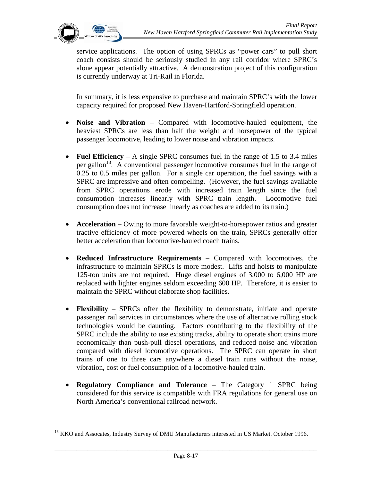$\overline{a}$ 

service applications. The option of using SPRCs as "power cars" to pull short coach consists should be seriously studied in any rail corridor where SPRC's alone appear potentially attractive. A demonstration project of this configuration is currently underway at Tri-Rail in Florida.

In summary, it is less expensive to purchase and maintain SPRC's with the lower capacity required for proposed New Haven-Hartford-Springfield operation.

- **Noise and Vibration** Compared with locomotive-hauled equipment, the heaviest SPRCs are less than half the weight and horsepower of the typical passenger locomotive, leading to lower noise and vibration impacts.
- **Fuel Efficiency** A single SPRC consumes fuel in the range of 1.5 to 3.4 miles per gallon<sup>13</sup>. A conventional passenger locomotive consumes fuel in the range of 0.25 to 0.5 miles per gallon. For a single car operation, the fuel savings with a SPRC are impressive and often compelling. (However, the fuel savings available from SPRC operations erode with increased train length since the fuel consumption increases linearly with SPRC train length. Locomotive fuel consumption does not increase linearly as coaches are added to its train.)
- **Acceleration** Owing to more favorable weight-to-horsepower ratios and greater tractive efficiency of more powered wheels on the train, SPRCs generally offer better acceleration than locomotive-hauled coach trains.
- **Reduced Infrastructure Requirements** Compared with locomotives, the infrastructure to maintain SPRCs is more modest. Lifts and hoists to manipulate 125-ton units are not required. Huge diesel engines of 3,000 to 6,000 HP are replaced with lighter engines seldom exceeding 600 HP. Therefore, it is easier to maintain the SPRC without elaborate shop facilities.
- **Flexibility** SPRCs offer the flexibility to demonstrate, initiate and operate passenger rail services in circumstances where the use of alternative rolling stock technologies would be daunting. Factors contributing to the flexibility of the SPRC include the ability to use existing tracks, ability to operate short trains more economically than push-pull diesel operations, and reduced noise and vibration compared with diesel locomotive operations. The SPRC can operate in short trains of one to three cars anywhere a diesel train runs without the noise, vibration, cost or fuel consumption of a locomotive-hauled train.
- **Regulatory Compliance and Tolerance**  The Category 1 SPRC being considered for this service is compatible with FRA regulations for general use on North America's conventional railroad network.

<sup>&</sup>lt;sup>13</sup> KKO and Assocates, Industry Survey of DMU Manufacturers interested in US Market. October 1996.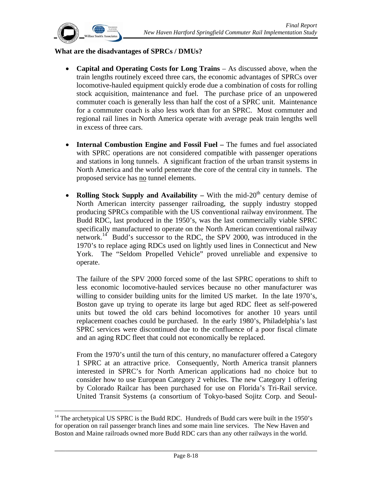

 $\overline{a}$ 

#### **What are the disadvantages of SPRCs / DMUs?**

- **Capital and Operating Costs for Long Trains** As discussed above, when the train lengths routinely exceed three cars, the economic advantages of SPRCs over locomotive-hauled equipment quickly erode due a combination of costs for rolling stock acquisition, maintenance and fuel. The purchase price of an unpowered commuter coach is generally less than half the cost of a SPRC unit. Maintenance for a commuter coach is also less work than for an SPRC. Most commuter and regional rail lines in North America operate with average peak train lengths well in excess of three cars.
- **Internal Combustion Engine and Fossil Fuel** The fumes and fuel associated with SPRC operations are not considered compatible with passenger operations and stations in long tunnels. A significant fraction of the urban transit systems in North America and the world penetrate the core of the central city in tunnels. The proposed service has no tunnel elements.
- **Rolling Stock Supply and Availability** With the mid-20<sup>th</sup> century demise of North American intercity passenger railroading, the supply industry stopped producing SPRCs compatible with the US conventional railway environment. The Budd RDC, last produced in the 1950's, was the last commercially viable SPRC specifically manufactured to operate on the North American conventional railway network.<sup>14</sup> Budd's successor to the RDC, the SPV 2000, was introduced in the 1970's to replace aging RDCs used on lightly used lines in Connecticut and New York. The "Seldom Propelled Vehicle" proved unreliable and expensive to operate.

The failure of the SPV 2000 forced some of the last SPRC operations to shift to less economic locomotive-hauled services because no other manufacturer was willing to consider building units for the limited US market. In the late 1970's, Boston gave up trying to operate its large but aged RDC fleet as self-powered units but towed the old cars behind locomotives for another 10 years until replacement coaches could be purchased. In the early 1980's, Philadelphia's last SPRC services were discontinued due to the confluence of a poor fiscal climate and an aging RDC fleet that could not economically be replaced.

From the 1970's until the turn of this century, no manufacturer offered a Category 1 SPRC at an attractive price. Consequently, North America transit planners interested in SPRC's for North American applications had no choice but to consider how to use European Category 2 vehicles. The new Category 1 offering by Colorado Railcar has been purchased for use on Florida's Tri-Rail service. United Transit Systems (a consortium of Tokyo-based Sojitz Corp. and Seoul-

 $14$  The archetypical US SPRC is the Budd RDC. Hundreds of Budd cars were built in the 1950's for operation on rail passenger branch lines and some main line services. The New Haven and Boston and Maine railroads owned more Budd RDC cars than any other railways in the world.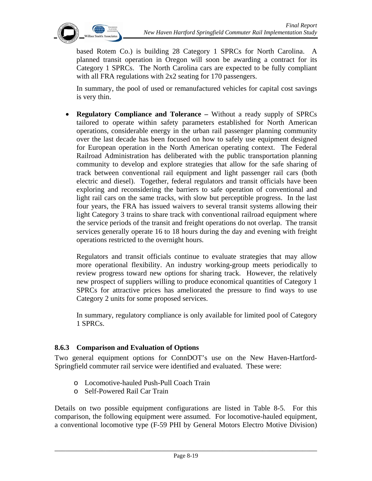

based Rotem Co.) is building 28 Category 1 SPRCs for North Carolina. A planned transit operation in Oregon will soon be awarding a contract for its Category 1 SPRCs. The North Carolina cars are expected to be fully compliant with all FRA regulations with 2x2 seating for 170 passengers.

In summary, the pool of used or remanufactured vehicles for capital cost savings is very thin.

• **Regulatory Compliance and Tolerance –** Without a ready supply of SPRCs tailored to operate within safety parameters established for North American operations, considerable energy in the urban rail passenger planning community over the last decade has been focused on how to safely use equipment designed for European operation in the North American operating context. The Federal Railroad Administration has deliberated with the public transportation planning community to develop and explore strategies that allow for the safe sharing of track between conventional rail equipment and light passenger rail cars (both electric and diesel). Together, federal regulators and transit officials have been exploring and reconsidering the barriers to safe operation of conventional and light rail cars on the same tracks, with slow but perceptible progress. In the last four years, the FRA has issued waivers to several transit systems allowing their light Category 3 trains to share track with conventional railroad equipment where the service periods of the transit and freight operations do not overlap. The transit services generally operate 16 to 18 hours during the day and evening with freight operations restricted to the overnight hours.

Regulators and transit officials continue to evaluate strategies that may allow more operational flexibility. An industry working-group meets periodically to review progress toward new options for sharing track. However, the relatively new prospect of suppliers willing to produce economical quantities of Category 1 SPRCs for attractive prices has ameliorated the pressure to find ways to use Category 2 units for some proposed services.

In summary, regulatory compliance is only available for limited pool of Category 1 SPRCs.

### **8.6.3 Comparison and Evaluation of Options**

Two general equipment options for ConnDOT's use on the New Haven-Hartford-Springfield commuter rail service were identified and evaluated. These were:

- o Locomotive-hauled Push-Pull Coach Train
- o Self-Powered Rail Car Train

Details on two possible equipment configurations are listed in Table 8-5. For this comparison, the following equipment were assumed. For locomotive-hauled equipment, a conventional locomotive type (F-59 PHI by General Motors Electro Motive Division)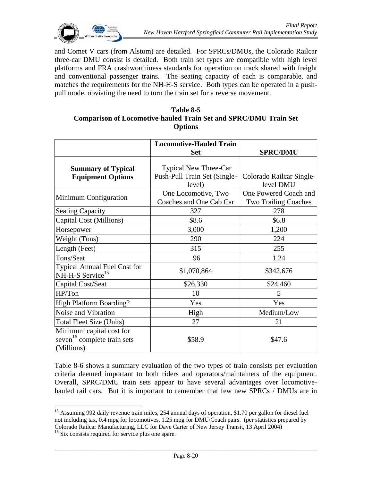

and Comet V cars (from Alstom) are detailed. For SPRCs/DMUs, the Colorado Railcar three-car DMU consist is detailed. Both train set types are compatible with high level platforms and FRA crashworthiness standards for operation on track shared with freight and conventional passenger trains. The seating capacity of each is comparable, and matches the requirements for the NH-H-S service. Both types can be operated in a pushpull mode, obviating the need to turn the train set for a reverse movement.

#### **Table 8-5 Comparison of Locomotive-hauled Train Set and SPRC/DMU Train Set Options**

|                                                                                   | <b>Locomotive-Hauled Train</b>                                         |                                                      |
|-----------------------------------------------------------------------------------|------------------------------------------------------------------------|------------------------------------------------------|
|                                                                                   | <b>Set</b>                                                             | <b>SPRC/DMU</b>                                      |
| <b>Summary of Typical</b><br><b>Equipment Options</b>                             | <b>Typical New Three-Car</b><br>Push-Pull Train Set (Single-<br>level) | Colorado Railcar Single-<br>level DMU                |
| Minimum Configuration                                                             | One Locomotive, Two<br>Coaches and One Cab Car                         | One Powered Coach and<br><b>Two Trailing Coaches</b> |
| <b>Seating Capacity</b>                                                           | 327                                                                    | 278                                                  |
| Capital Cost (Millions)                                                           | \$8.6                                                                  | \$6.8                                                |
| Horsepower                                                                        | 3,000                                                                  | 1,200                                                |
| Weight (Tons)                                                                     | 290                                                                    | 224                                                  |
| Length (Feet)                                                                     | 315                                                                    | 255                                                  |
| Tons/Seat                                                                         | .96                                                                    | 1.24                                                 |
| <b>Typical Annual Fuel Cost for</b><br>NH-H-S Service <sup>15</sup>               | \$1,070,864                                                            | \$342,676                                            |
| Capital Cost/Seat                                                                 | \$26,330                                                               | \$24,460                                             |
| HP/Ton                                                                            | 10                                                                     | 5                                                    |
| <b>High Platform Boarding?</b>                                                    | Yes                                                                    | Yes                                                  |
| Noise and Vibration                                                               | High                                                                   | Medium/Low                                           |
| Total Fleet Size (Units)                                                          | 27                                                                     | 21                                                   |
| Minimum capital cost for<br>seven <sup>16</sup> complete train sets<br>(Millions) | \$58.9                                                                 | \$47.6                                               |

Table 8-6 shows a summary evaluation of the two types of train consists per evaluation criteria deemed important to both riders and operators/maintainers of the equipment. Overall, SPRC/DMU train sets appear to have several advantages over locomotivehauled rail cars. But it is important to remember that few new SPRCs / DMUs are in

 $\overline{a}$ 

<sup>&</sup>lt;sup>15</sup> Assuming 992 daily revenue train miles, 254 annual days of operation, \$1.70 per gallon for diesel fuel not including tax, 0.4 mpg for locomotives, 1.25 mpg for DMU/Coach pairs. (per statistics prepared by Colorado Railcar Manufacturing, LLC for Dave Carter of New Jersey Transit, 13 April 2004) 16 Six consists required for service plus one spare.